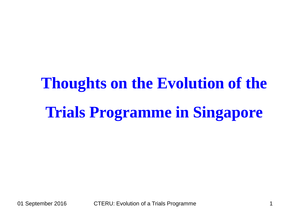# **Thoughts on the Evolution of the Trials Programme in Singapore**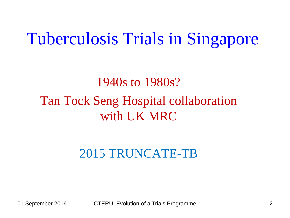### Tuberculosis Trials in Singapore

#### 1940s to 1980s? Tan Tock Seng Hospital collaboration with UK MRC

#### 2015 TRUNCATE-TB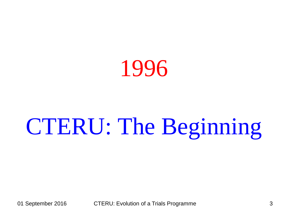

# CTERU: The Beginning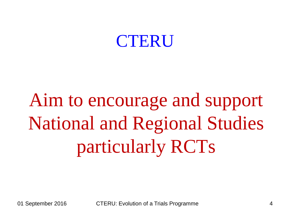#### CTERU

Aim to encourage and support National and Regional Studies particularly RCTs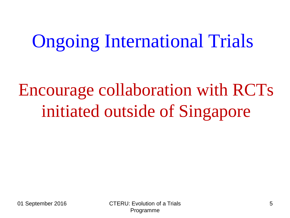## Ongoing International Trials

## Encourage collaboration with RCTs initiated outside of Singapore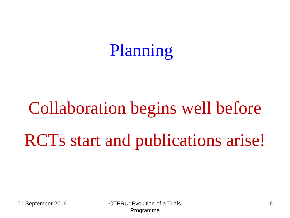## Planning

# Collaboration begins well before RCTs start and publications arise!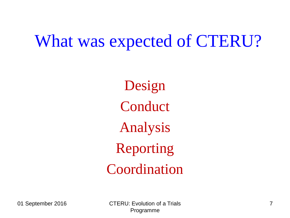#### What was expected of CTERU?

Design Conduct Analysis Reporting Coordination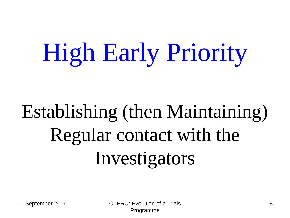# High Early Priority

# Establishing (then Maintaining) Regular contact with the Investigators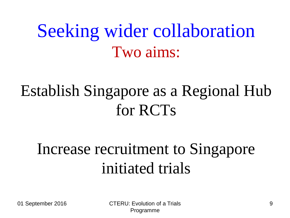## Seeking wider collaboration Two aims:

### Establish Singapore as a Regional Hub for RCTs

#### Increase recruitment to Singapore initiated trials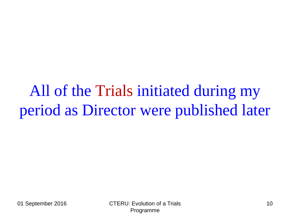All of the Trials initiated during my period as Director were published later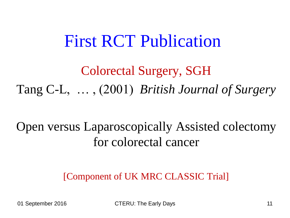#### First RCT Publication

Colorectal Surgery, SGH Tang C-L, … , (2001) *British Journal of Surgery*

Open versus Laparoscopically Assisted colectomy for colorectal cancer

[Component of UK MRC CLASSIC Trial]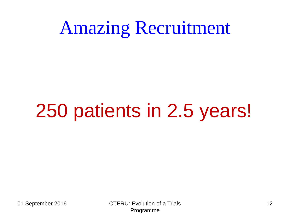## Amazing Recruitment

# 250 patients in 2.5 years!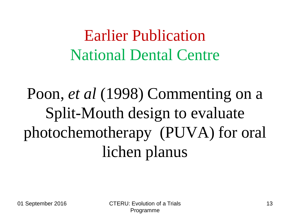Earlier Publication National Dental Centre

Poon, *et al* (1998) Commenting on a Split-Mouth design to evaluate photochemotherapy (PUVA) for oral lichen planus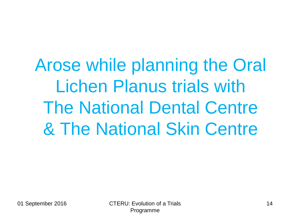Arose while planning the Oral Lichen Planus trials with The National Dental Centre & The National Skin Centre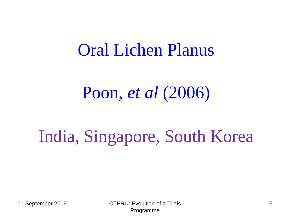#### Oral Lichen Planus

#### Poon, *et al* (2006)

## India, Singapore, South Korea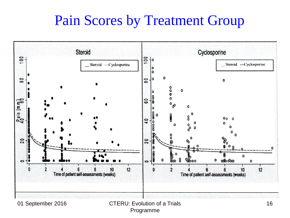#### Pain Scores by Treatment Group

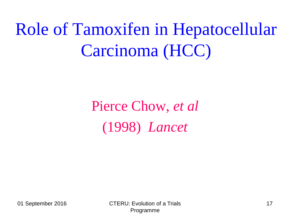## Role of Tamoxifen in Hepatocellular Carcinoma (HCC)

#### Pierce Chow, *et al*  (1998) *Lancet*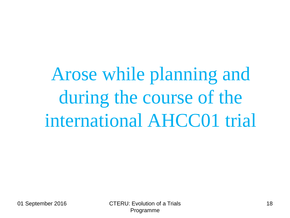Arose while planning and during the course of the international AHCC01 trial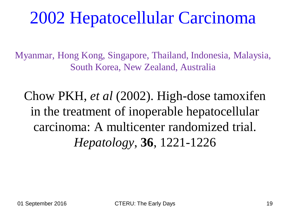## 2002 Hepatocellular Carcinoma

Myanmar, Hong Kong, Singapore, Thailand, Indonesia, Malaysia, South Korea, New Zealand, Australia

Chow PKH, *et al* (2002). High-dose tamoxifen in the treatment of inoperable hepatocellular carcinoma: A multicenter randomized trial. *Hepatology*, **36**, 1221-1226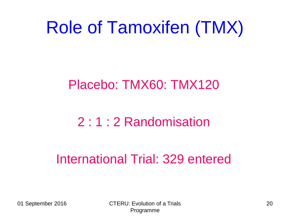## Role of Tamoxifen (TMX)

#### Placebo: TMX60: TMX120

#### 2 : 1 : 2 Randomisation

#### International Trial: 329 entered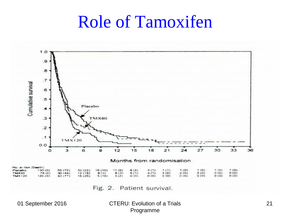#### Role of Tamoxifen



Fig. 2. Patient survival.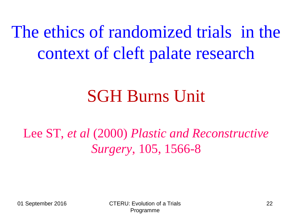The ethics of randomized trials in the context of cleft palate research

## SGH Burns Unit

Lee ST, *et al* (2000) *Plastic and Reconstructive Surgery*, 105, 1566-8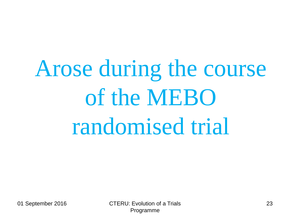# Arose during the course of the MEBO randomised trial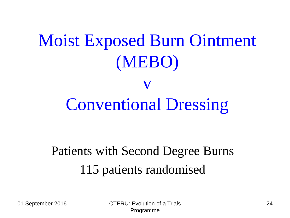## Moist Exposed Burn Ointment (MEBO) v Conventional Dressing

#### Patients with Second Degree Burns 115 patients randomised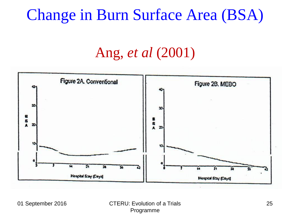#### Change in Burn Surface Area (BSA)

#### Ang, *et al* (2001)

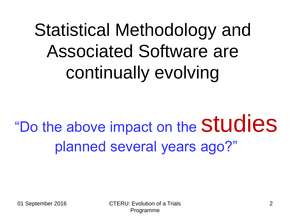# Statistical Methodology and Associated Software are continually evolving

"Do the above impact on the Studies planned several years ago?"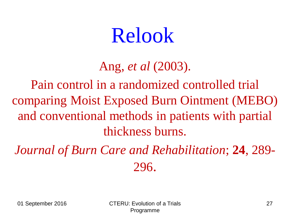## Relook

#### Ang, *et al* (2003).

Pain control in a randomized controlled trial comparing Moist Exposed Burn Ointment (MEBO) and conventional methods in patients with partial thickness burns.

*Journal of Burn Care and Rehabilitation*; **24**, 289- 296.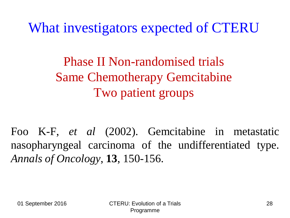What investigators expected of CTERU

Phase II Non-randomised trials Same Chemotherapy Gemcitabine Two patient groups

Foo K-F, *et al* (2002). Gemcitabine in metastatic nasopharyngeal carcinoma of the undifferentiated type. *Annals of Oncology*, **13**, 150-156.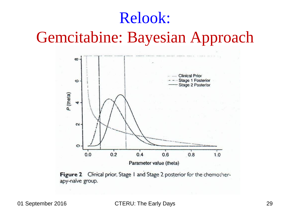## Relook: Gemcitabine: Bayesian Approach



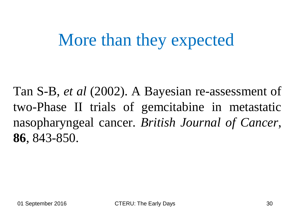## More than they expected

Tan S-B, *et al* (2002). A Bayesian re-assessment of two-Phase II trials of gemcitabine in metastatic nasopharyngeal cancer. *British Journal of Cancer*, **86**, 843-850.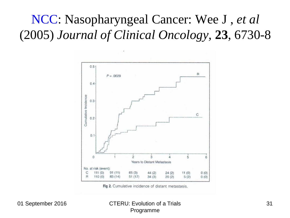#### NCC: Nasopharyngeal Cancer: Wee J , *et al* (2005) *Journal of Clinical Oncology,* **23**, 6730-8



Fig 2. Cumulative incidence of distant metastasis.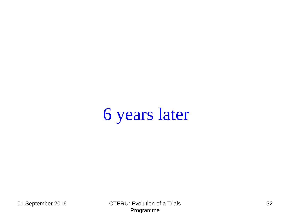## 6 years later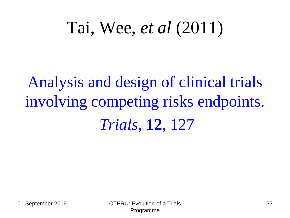## Tai, Wee, *et al* (2011)

Analysis and design of clinical trials involving competing risks endpoints. *Trials*, **12**, 127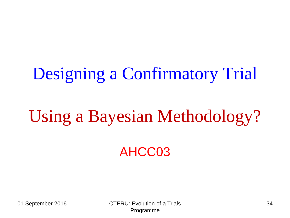## Designing a Confirmatory Trial

## Using a Bayesian Methodology?

#### AHCC03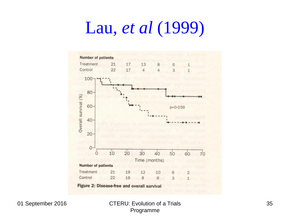## Lau, *et al* (1999)

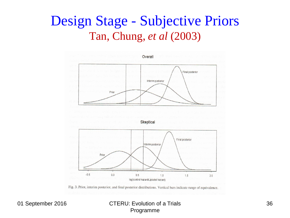#### Design Stage - Subjective Priors Tan, Chung, *et al* (2003)



Fig. 3. Prior, interim posterior, and final posterior distributions. Vertical bars indicate range of equivalence.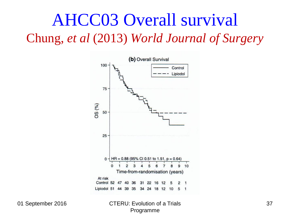#### AHCC03 Overall survival Chung, *et al* (2013) *World Journal of Surgery*

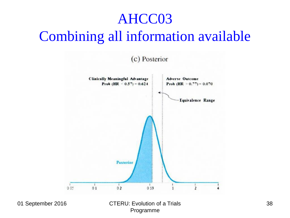#### AHCC03 Combining all information available

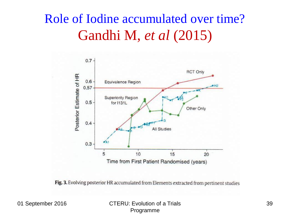#### Role of Iodine accumulated over time? Gandhi M, *et al* (2015)



Fig. 3. Evolving posterior HR accumulated from Elements extracted from pertinent studies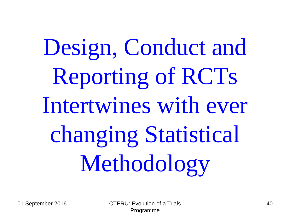Design, Conduct and Reporting of RCTs Intertwines with ever changing Statistical Methodology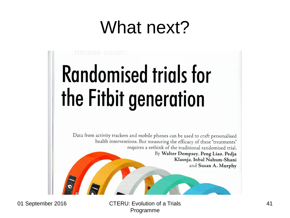## What next?

# **Randomised trials for** the Fitbit generation

Data from activity trackers and mobile phones can be used to craft personalised health interventions. But measuring the efficacy of these "treatments" requires a rethink of the traditional randomised trial. By Walter Dempsey, Peng Liao, Pedja Klasnja, Inbal Nahum-Shani and Susan A. Murphy